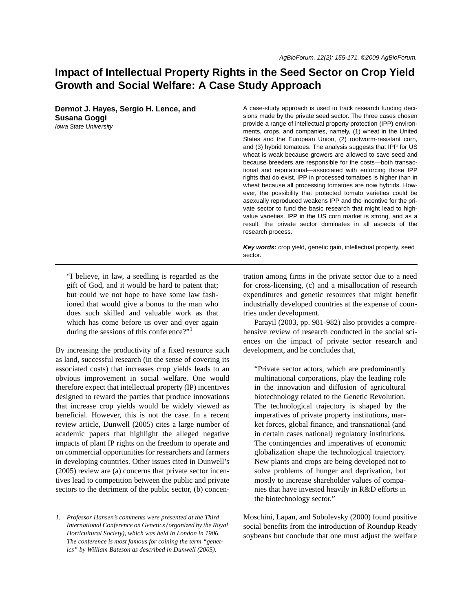# **Impact of Intellectual Property Rights in the Seed Sector on Crop Yield Growth and Social Welfare: A Case Study Approach**

**Dermot J. Hayes, Sergio H. Lence, and Susana Goggi** *Iowa State University*

A case-study approach is used to track research funding decisions made by the private seed sector. The three cases chosen provide a range of intellectual property protection (IPP) environments, crops, and companies, namely, (1) wheat in the United States and the European Union, (2) rootworm-resistant corn, and (3) hybrid tomatoes. The analysis suggests that IPP for US wheat is weak because growers are allowed to save seed and because breeders are responsible for the costs—both transactional and reputational—associated with enforcing those IPP rights that do exist. IPP in processed tomatoes is higher than in wheat because all processing tomatoes are now hybrids. However, the possibility that protected tomato varieties could be asexually reproduced weakens IPP and the incentive for the private sector to fund the basic research that might lead to highvalue varieties. IPP in the US corn market is strong, and as a result, the private sector dominates in all aspects of the research process.

*Key words:* crop yield, genetic gain, intellectual property, seed sector.

"I believe, in law, a seedling is regarded as the gift of God, and it would be hard to patent that; but could we not hope to have some law fashioned that would give a bonus to the man who does such skilled and valuable work as that which has come before us over and over again during the sessions of this conference?"<sup>1</sup>

By increasing the productivity of a fixed resource such as land, successful research (in the sense of covering its associated costs) that increases crop yields leads to an obvious improvement in social welfare. One would therefore expect that intellectual property (IP) incentives designed to reward the parties that produce innovations that increase crop yields would be widely viewed as beneficial. However, this is not the case. In a recent review article, Dunwell (2005) cites a large number of academic papers that highlight the alleged negative impacts of plant IP rights on the freedom to operate and on commercial opportunities for researchers and farmers in developing countries. Other issues cited in Dunwell's (2005) review are (a) concerns that private sector incentives lead to competition between the public and private sectors to the detriment of the public sector, (b) concentration among firms in the private sector due to a need for cross-licensing, (c) and a misallocation of research expenditures and genetic resources that might benefit industrially developed countries at the expense of countries under development.

Parayil (2003, pp. 981-982) also provides a comprehensive review of research conducted in the social sciences on the impact of private sector research and development, and he concludes that,

"Private sector actors, which are predominantly multinational corporations, play the leading role in the innovation and diffusion of agricultural biotechnology related to the Genetic Revolution. The technological trajectory is shaped by the imperatives of private property institutions, market forces, global finance, and transnational (and in certain cases national) regulatory institutions. The contingencies and imperatives of economic globalization shape the technological trajectory. New plants and crops are being developed not to solve problems of hunger and deprivation, but mostly to increase shareholder values of companies that have invested heavily in R&D efforts in the biotechnology sector."

Moschini, Lapan, and Sobolevsky (2000) found positive social benefits from the introduction of Roundup Ready soybeans but conclude that one must adjust the welfare

*<sup>1.</sup> Professor Hansen's comments were presented at the Third International Conference on Genetics (organized by the Royal Horticultural Society), which was held in London in 1906. The conference is most famous for coining the term "genetics" by William Bateson as described in Dunwell (2005).*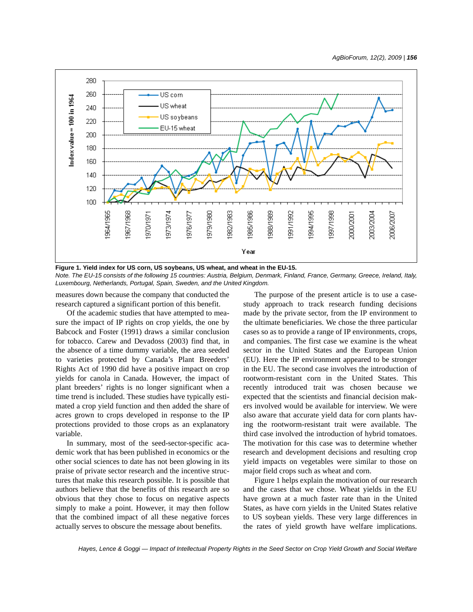

**Figure 1. Yield index for US corn, US soybeans, US wheat, and wheat in the EU-15.** *Note. The EU-15 consists of the following 15 countries: Austria, Belgium, Denmark, Finland, France, Germany, Greece, Ireland, Italy, Luxembourg, Netherlands, Portugal, Spain, Sweden, and the United Kingdom.*

measures down because the company that conducted the research captured a significant portion of this benefit.

Of the academic studies that have attempted to measure the impact of IP rights on crop yields, the one by Babcock and Foster (1991) draws a similar conclusion for tobacco. Carew and Devadoss (2003) find that, in the absence of a time dummy variable, the area seeded to varieties protected by Canada's Plant Breeders' Rights Act of 1990 did have a positive impact on crop yields for canola in Canada. However, the impact of plant breeders' rights is no longer significant when a time trend is included. These studies have typically estimated a crop yield function and then added the share of acres grown to crops developed in response to the IP protections provided to those crops as an explanatory variable.

In summary, most of the seed-sector-specific academic work that has been published in economics or the other social sciences to date has not been glowing in its praise of private sector research and the incentive structures that make this research possible. It is possible that authors believe that the benefits of this research are so obvious that they chose to focus on negative aspects simply to make a point. However, it may then follow that the combined impact of all these negative forces actually serves to obscure the message about benefits.

The purpose of the present article is to use a casestudy approach to track research funding decisions made by the private sector, from the IP environment to the ultimate beneficiaries. We chose the three particular cases so as to provide a range of IP environments, crops, and companies. The first case we examine is the wheat sector in the United States and the European Union (EU). Here the IP environment appeared to be stronger in the EU. The second case involves the introduction of rootworm-resistant corn in the United States. This recently introduced trait was chosen because we expected that the scientists and financial decision makers involved would be available for interview. We were also aware that accurate yield data for corn plants having the rootworm-resistant trait were available. The third case involved the introduction of hybrid tomatoes. The motivation for this case was to determine whether research and development decisions and resulting crop yield impacts on vegetables were similar to those on major field crops such as wheat and corn.

Figure 1 helps explain the motivation of our research and the cases that we chose. Wheat yields in the EU have grown at a much faster rate than in the United States, as have corn yields in the United States relative to US soybean yields. These very large differences in the rates of yield growth have welfare implications.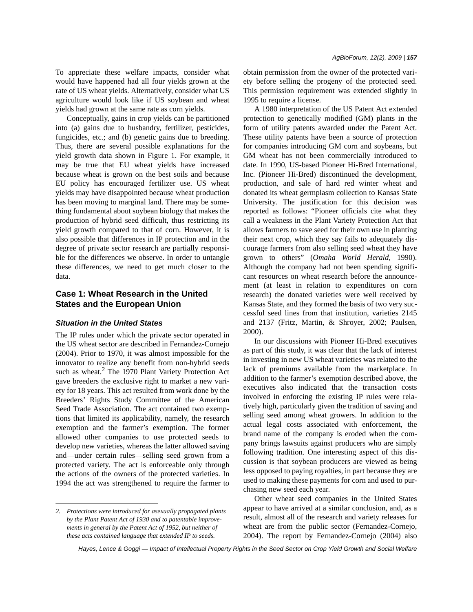To appreciate these welfare impacts, consider what would have happened had all four yields grown at the rate of US wheat yields. Alternatively, consider what US agriculture would look like if US soybean and wheat yields had grown at the same rate as corn yields.

Conceptually, gains in crop yields can be partitioned into (a) gains due to husbandry, fertilizer, pesticides, fungicides, etc.; and (b) genetic gains due to breeding. Thus, there are several possible explanations for the yield growth data shown in Figure 1. For example, it may be true that EU wheat yields have increased because wheat is grown on the best soils and because EU policy has encouraged fertilizer use. US wheat yields may have disappointed because wheat production has been moving to marginal land. There may be something fundamental about soybean biology that makes the production of hybrid seed difficult, thus restricting its yield growth compared to that of corn. However, it is also possible that differences in IP protection and in the degree of private sector research are partially responsible for the differences we observe. In order to untangle these differences, we need to get much closer to the data.

# **Case 1: Wheat Research in the United States and the European Union**

### *Situation in the United States*

The IP rules under which the private sector operated in the US wheat sector are described in Fernandez-Cornejo (2004). Prior to 1970, it was almost impossible for the innovator to realize any benefit from non-hybrid seeds such as wheat.<sup>2</sup> The 1970 Plant Variety Protection Act gave breeders the exclusive right to market a new variety for 18 years. This act resulted from work done by the Breeders' Rights Study Committee of the American Seed Trade Association. The act contained two exemptions that limited its applicability, namely, the research exemption and the farmer's exemption. The former allowed other companies to use protected seeds to develop new varieties, whereas the latter allowed saving and—under certain rules—selling seed grown from a protected variety. The act is enforceable only through the actions of the owners of the protected varieties. In 1994 the act was strengthened to require the farmer to obtain permission from the owner of the protected variety before selling the progeny of the protected seed. This permission requirement was extended slightly in 1995 to require a license.

A 1980 interpretation of the US Patent Act extended protection to genetically modified (GM) plants in the form of utility patents awarded under the Patent Act. These utility patents have been a source of protection for companies introducing GM corn and soybeans, but GM wheat has not been commercially introduced to date. In 1990, US-based Pioneer Hi-Bred International, Inc. (Pioneer Hi-Bred) discontinued the development, production, and sale of hard red winter wheat and donated its wheat germplasm collection to Kansas State University. The justification for this decision was reported as follows: "Pioneer officials cite what they call a weakness in the Plant Variety Protection Act that allows farmers to save seed for their own use in planting their next crop, which they say fails to adequately discourage farmers from also selling seed wheat they have grown to others" (*Omaha World Herald*, 1990). Although the company had not been spending significant resources on wheat research before the announcement (at least in relation to expenditures on corn research) the donated varieties were well received by Kansas State, and they formed the basis of two very successful seed lines from that institution, varieties 2145 and 2137 (Fritz, Martin, & Shroyer, 2002; Paulsen, 2000).

In our discussions with Pioneer Hi-Bred executives as part of this study, it was clear that the lack of interest in investing in new US wheat varieties was related to the lack of premiums available from the marketplace. In addition to the farmer's exemption described above, the executives also indicated that the transaction costs involved in enforcing the existing IP rules were relatively high, particularly given the tradition of saving and selling seed among wheat growers. In addition to the actual legal costs associated with enforcement, the brand name of the company is eroded when the company brings lawsuits against producers who are simply following tradition. One interesting aspect of this discussion is that soybean producers are viewed as being less opposed to paying royalties, in part because they are used to making these payments for corn and used to purchasing new seed each year.

Other wheat seed companies in the United States appear to have arrived at a similar conclusion, and, as a result, almost all of the research and variety releases for wheat are from the public sector (Fernandez-Cornejo, 2004). The report by Fernandez-Cornejo (2004) also

*<sup>2.</sup> Protections were introduced for asexually propagated plants by the Plant Patent Act of 1930 and to patentable improvements in general by the Patent Act of 1952, but neither of these acts contained language that extended IP to seeds.*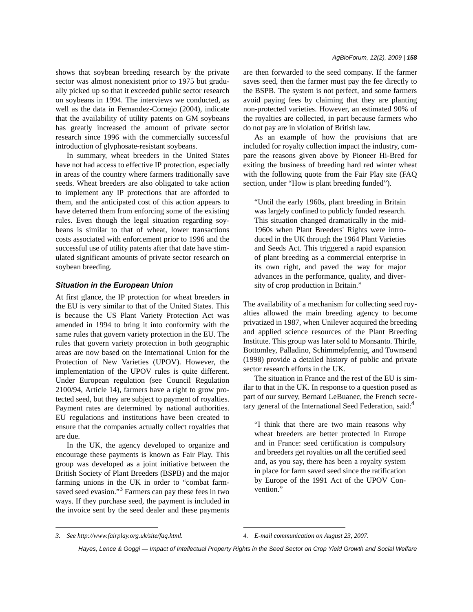shows that soybean breeding research by the private sector was almost nonexistent prior to 1975 but gradually picked up so that it exceeded public sector research on soybeans in 1994. The interviews we conducted, as well as the data in Fernandez-Cornejo (2004), indicate that the availability of utility patents on GM soybeans has greatly increased the amount of private sector research since 1996 with the commercially successful introduction of glyphosate-resistant soybeans.

In summary, wheat breeders in the United States have not had access to effective IP protection, especially in areas of the country where farmers traditionally save seeds. Wheat breeders are also obligated to take action to implement any IP protections that are afforded to them, and the anticipated cost of this action appears to have deterred them from enforcing some of the existing rules. Even though the legal situation regarding soybeans is similar to that of wheat, lower transactions costs associated with enforcement prior to 1996 and the successful use of utility patents after that date have stimulated significant amounts of private sector research on soybean breeding.

#### *Situation in the European Union*

At first glance, the IP protection for wheat breeders in the EU is very similar to that of the United States. This is because the US Plant Variety Protection Act was amended in 1994 to bring it into conformity with the same rules that govern variety protection in the EU. The rules that govern variety protection in both geographic areas are now based on the International Union for the Protection of New Varieties (UPOV). However, the implementation of the UPOV rules is quite different. Under European regulation (see Council Regulation 2100/94, Article 14), farmers have a right to grow protected seed, but they are subject to payment of royalties. Payment rates are determined by national authorities. EU regulations and institutions have been created to ensure that the companies actually collect royalties that are due.

In the UK, the agency developed to organize and encourage these payments is known as Fair Play. This group was developed as a joint initiative between the British Society of Plant Breeders (BSPB) and the major farming unions in the UK in order to "combat farmsaved seed evasion."<sup>3</sup> Farmers can pay these fees in two ways. If they purchase seed, the payment is included in the invoice sent by the seed dealer and these payments are then forwarded to the seed company. If the farmer saves seed, then the farmer must pay the fee directly to the BSPB. The system is not perfect, and some farmers avoid paying fees by claiming that they are planting non-protected varieties. However, an estimated 90% of the royalties are collected, in part because farmers who do not pay are in violation of British law.

As an example of how the provisions that are included for royalty collection impact the industry, compare the reasons given above by Pioneer Hi-Bred for exiting the business of breeding hard red winter wheat with the following quote from the Fair Play site (FAQ section, under "How is plant breeding funded").

"Until the early 1960s, plant breeding in Britain was largely confined to publicly funded research. This situation changed dramatically in the mid-1960s when Plant Breeders' Rights were introduced in the UK through the 1964 Plant Varieties and Seeds Act. This triggered a rapid expansion of plant breeding as a commercial enterprise in its own right, and paved the way for major advances in the performance, quality, and diversity of crop production in Britain."

The availability of a mechanism for collecting seed royalties allowed the main breeding agency to become privatized in 1987, when Unilever acquired the breeding and applied science resources of the Plant Breeding Institute. This group was later sold to Monsanto. Thirtle, Bottomley, Palladino, Schimmelpfennig, and Townsend (1998) provide a detailed history of public and private sector research efforts in the UK.

The situation in France and the rest of the EU is similar to that in the UK. In response to a question posed as part of our survey, Bernard LeBuanec, the French secretary general of the International Seed Federation, said:<sup>4</sup>

"I think that there are two main reasons why wheat breeders are better protected in Europe and in France: seed certification is compulsory and breeders get royalties on all the certified seed and, as you say, there has been a royalty system in place for farm saved seed since the ratification by Europe of the 1991 Act of the UPOV Convention."

*<sup>3.</sup> See http://www.fairplay.org.uk/site/faq.html. 4. E-mail communication on August 23, 2007.*

*Hayes, Lence & Goggi — Impact of Intellectual Property Rights in the Seed Sector on Crop Yield Growth and Social Welfare*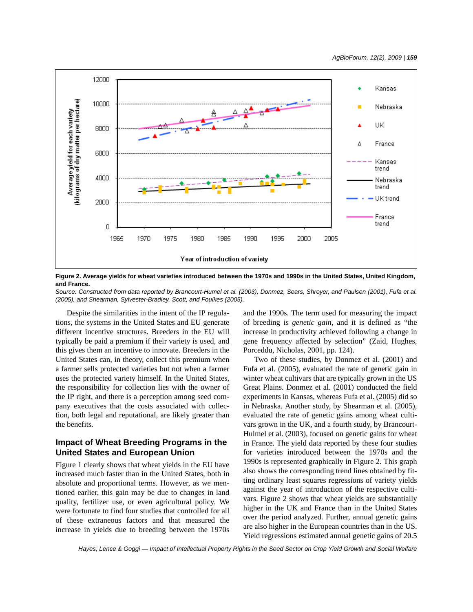

**Figure 2. Average yields for wheat varieties introduced between the 1970s and 1990s in the United States, United Kingdom, and France.**

*Source: Constructed from data reported by Brancourt-Humel et al. (2003), Donmez, Sears, Shroyer, and Paulsen (2001), Fufa et al. (2005), and Shearman, Sylvester-Bradley, Scott, and Foulkes (2005).*

Despite the similarities in the intent of the IP regulations, the systems in the United States and EU generate different incentive structures. Breeders in the EU will typically be paid a premium if their variety is used, and this gives them an incentive to innovate. Breeders in the United States can, in theory, collect this premium when a farmer sells protected varieties but not when a farmer uses the protected variety himself. In the United States, the responsibility for collection lies with the owner of the IP right, and there is a perception among seed company executives that the costs associated with collection, both legal and reputational, are likely greater than the benefits.

# **Impact of Wheat Breeding Programs in the United States and European Union**

Figure 1 clearly shows that wheat yields in the EU have increased much faster than in the United States, both in absolute and proportional terms. However, as we mentioned earlier, this gain may be due to changes in land quality, fertilizer use, or even agricultural policy. We were fortunate to find four studies that controlled for all of these extraneous factors and that measured the increase in yields due to breeding between the 1970s and the 1990s. The term used for measuring the impact of breeding is *genetic gain,* and it is defined as "the increase in productivity achieved following a change in gene frequency affected by selection" (Zaid, Hughes, Porceddu, Nicholas, 2001, pp. 124).

Two of these studies, by Donmez et al. (2001) and Fufa et al. (2005), evaluated the rate of genetic gain in winter wheat cultivars that are typically grown in the US Great Plains. Donmez et al. (2001) conducted the field experiments in Kansas, whereas Fufa et al. (2005) did so in Nebraska. Another study, by Shearman et al. (2005), evaluated the rate of genetic gains among wheat cultivars grown in the UK, and a fourth study, by Brancourt-Hulmel et al. (2003), focused on genetic gains for wheat in France. The yield data reported by these four studies for varieties introduced between the 1970s and the 1990s is represented graphically in Figure 2. This graph also shows the corresponding trend lines obtained by fitting ordinary least squares regressions of variety yields against the year of introduction of the respective cultivars. Figure 2 shows that wheat yields are substantially higher in the UK and France than in the United States over the period analyzed. Further, annual genetic gains are also higher in the European countries than in the US. Yield regressions estimated annual genetic gains of 20.5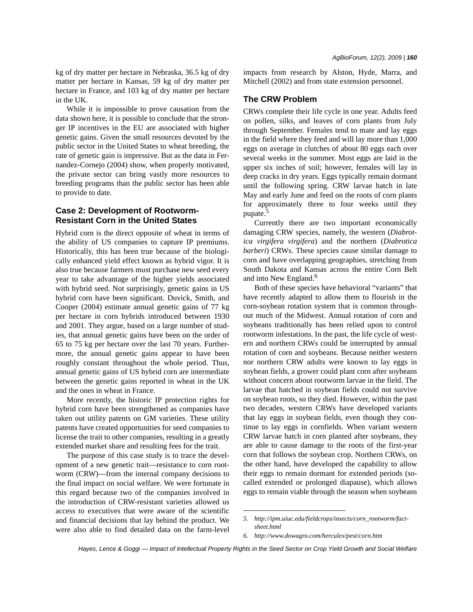kg of dry matter per hectare in Nebraska, 36.5 kg of dry matter per hectare in Kansas, 59 kg of dry matter per hectare in France, and 103 kg of dry matter per hectare in the UK.

While it is impossible to prove causation from the data shown here, it is possible to conclude that the stronger IP incentives in the EU are associated with higher genetic gains. Given the small resources devoted by the public sector in the United States to wheat breeding, the rate of genetic gain is impressive. But as the data in Fernandez-Cornejo (2004) show, when properly motivated, the private sector can bring vastly more resources to breeding programs than the public sector has been able to provide to date.

# **Case 2: Development of Rootworm-Resistant Corn in the United States**

Hybrid corn is the direct opposite of wheat in terms of the ability of US companies to capture IP premiums. Historically, this has been true because of the biologically enhanced yield effect known as hybrid vigor. It is also true because farmers must purchase new seed every year to take advantage of the higher yields associated with hybrid seed. Not surprisingly, genetic gains in US hybrid corn have been significant. Duvick, Smith, and Cooper (2004) estimate annual genetic gains of 77 kg per hectare in corn hybrids introduced between 1930 and 2001. They argue, based on a large number of studies, that annual genetic gains have been on the order of 65 to 75 kg per hectare over the last 70 years. Furthermore, the annual genetic gains appear to have been roughly constant throughout the whole period. Thus, annual genetic gains of US hybrid corn are intermediate between the genetic gains reported in wheat in the UK and the ones in wheat in France.

More recently, the historic IP protection rights for hybrid corn have been strengthened as companies have taken out utility patents on GM varieties. These utility patents have created opportunities for seed companies to license the trait to other companies, resulting in a greatly extended market share and resulting fees for the trait.

The purpose of this case study is to trace the development of a new genetic trait—resistance to corn rootworm (CRW)—from the internal company decisions to the final impact on social welfare. We were fortunate in this regard because two of the companies involved in the introduction of CRW-resistant varieties allowed us access to executives that were aware of the scientific and financial decisions that lay behind the product. We were also able to find detailed data on the farm-level impacts from research by Alston, Hyde, Marra, and Mitchell (2002) and from state extension personnel.

# **The CRW Problem**

CRWs complete their life cycle in one year. Adults feed on pollen, silks, and leaves of corn plants from July through September. Females tend to mate and lay eggs in the field where they feed and will lay more than 1,000 eggs on average in clutches of about 80 eggs each over several weeks in the summer. Most eggs are laid in the upper six inches of soil; however, females will lay in deep cracks in dry years. Eggs typically remain dormant until the following spring. CRW larvae hatch in late May and early June and feed on the roots of corn plants for approximately three to four weeks until they pupate.<sup>5</sup>

Currently there are two important economically damaging CRW species, namely, the western (*Diabrotica virgifera virgifera*) and the northern (*Diabrotica barberi*) CRWs. These species cause similar damage to corn and have overlapping geographies, stretching from South Dakota and Kansas across the entire Corn Belt and into New England.<sup>6</sup>

Both of these species have behavioral "variants" that have recently adapted to allow them to flourish in the corn-soybean rotation system that is common throughout much of the Midwest. Annual rotation of corn and soybeans traditionally has been relied upon to control rootworm infestations. In the past, the life cycle of western and northern CRWs could be interrupted by annual rotation of corn and soybeans. Because neither western nor northern CRW adults were known to lay eggs in soybean fields, a grower could plant corn after soybeans without concern about rootworm larvae in the field. The larvae that hatched in soybean fields could not survive on soybean roots, so they died. However, within the past two decades, western CRWs have developed variants that lay eggs in soybean fields, even though they continue to lay eggs in cornfields. When variant western CRW larvae hatch in corn planted after soybeans, they are able to cause damage to the roots of the first-year corn that follows the soybean crop. Northern CRWs, on the other hand, have developed the capability to allow their eggs to remain dormant for extended periods (socalled extended or prolonged diapause), which allows eggs to remain viable through the season when soybeans

*<sup>5.</sup> http://ipm.uiuc.edu/fieldcrops/insects/corn\_rootworm/factsheet.html*

*<sup>6.</sup> http://www.dowagro.com/herculex/pest/corn.htm*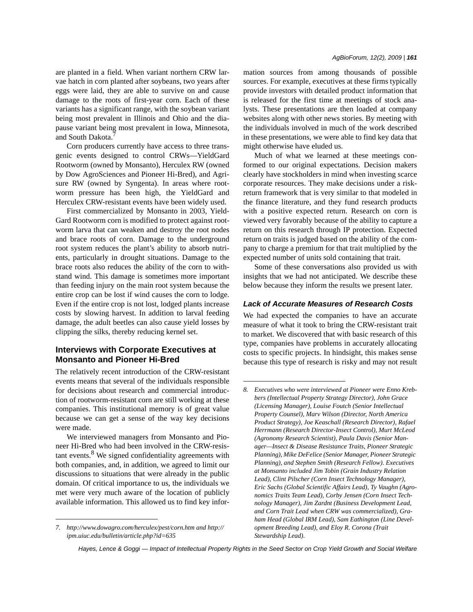are planted in a field. When variant northern CRW larvae hatch in corn planted after soybeans, two years after eggs were laid, they are able to survive on and cause damage to the roots of first-year corn. Each of these variants has a significant range, with the soybean variant being most prevalent in Illinois and Ohio and the diapause variant being most prevalent in Iowa, Minnesota, and South Dakota.<sup>7</sup>

Corn producers currently have access to three transgenic events designed to control CRWs—YieldGard Rootworm (owned by Monsanto), Herculex RW (owned by Dow AgroSciences and Pioneer Hi-Bred), and Agrisure RW (owned by Syngenta). In areas where rootworm pressure has been high, the YieldGard and Herculex CRW-resistant events have been widely used.

First commercialized by Monsanto in 2003, Yield-Gard Rootworm corn is modified to protect against rootworm larva that can weaken and destroy the root nodes and brace roots of corn. Damage to the underground root system reduces the plant's ability to absorb nutrients, particularly in drought situations. Damage to the brace roots also reduces the ability of the corn to withstand wind. This damage is sometimes more important than feeding injury on the main root system because the entire crop can be lost if wind causes the corn to lodge. Even if the entire crop is not lost, lodged plants increase costs by slowing harvest. In addition to larval feeding damage, the adult beetles can also cause yield losses by clipping the silks, thereby reducing kernel set.

# **Interviews with Corporate Executives at Monsanto and Pioneer Hi-Bred**

The relatively recent introduction of the CRW-resistant events means that several of the individuals responsible for decisions about research and commercial introduction of rootworm-resistant corn are still working at these companies. This institutional memory is of great value because we can get a sense of the way key decisions were made.

We interviewed managers from Monsanto and Pioneer Hi-Bred who had been involved in the CRW-resistant events.<sup>8</sup> We signed confidentiality agreements with both companies, and, in addition, we agreed to limit our discussions to situations that were already in the public domain. Of critical importance to us, the individuals we met were very much aware of the location of publicly available information. This allowed us to find key information sources from among thousands of possible sources. For example, executives at these firms typically provide investors with detailed product information that is released for the first time at meetings of stock analysts. These presentations are then loaded at company websites along with other news stories. By meeting with the individuals involved in much of the work described in these presentations, we were able to find key data that might otherwise have eluded us.

Much of what we learned at these meetings conformed to our original expectations. Decision makers clearly have stockholders in mind when investing scarce corporate resources. They make decisions under a riskreturn framework that is very similar to that modeled in the finance literature, and they fund research products with a positive expected return. Research on corn is viewed very favorably because of the ability to capture a return on this research through IP protection. Expected return on traits is judged based on the ability of the company to charge a premium for that trait multiplied by the expected number of units sold containing that trait.

Some of these conversations also provided us with insights that we had not anticipated. We describe these below because they inform the results we present later.

#### *Lack of Accurate Measures of Research Costs*

We had expected the companies to have an accurate measure of what it took to bring the CRW-resistant trait to market. We discovered that with basic research of this type, companies have problems in accurately allocating costs to specific projects. In hindsight, this makes sense because this type of research is risky and may not result

*<sup>7.</sup> http://www.dowagro.com/herculex/pest/corn.htm and http:// ipm.uiuc.edu/bulletin/article.php?id=635*

*<sup>8.</sup> Executives who were interviewed at Pioneer were Enno Krebbers (Intellectual Property Strategy Director), John Grace (Licensing Manager), Louise Foutch (Senior Intellectual Property Counsel), Marv Wilson (Director, North America Product Strategy), Joe Keaschall (Research Director), Rafael Herrmann (Research Director-Insect Control), Murt McLeod (Agronomy Research Scientist), Paula Davis (Senior Manager—Insect & Disease Resistance Traits, Pioneer Strategic Planning), Mike DeFelice (Senior Manager, Pioneer Strategic Planning), and Stephen Smith (Research Fellow). Executives at Monsanto included Jim Tobin (Grain Industry Relation Lead), Clint Pilscher (Corn Insect Technology Manager), Eric Sachs (Global Scientific Affairs Lead), Ty Vaughn (Agronomics Traits Team Lead), Corby Jensen (Corn Insect Technology Manager), Jim Zardnt (Business Development Lead, and Corn Trait Lead when CRW was commercialized), Graham Head (Global IRM Lead), Sam Eathington (Line Development Breeding Lead), and Eloy R. Corona (Trait Stewardship Lead).*

*Hayes, Lence & Goggi — Impact of Intellectual Property Rights in the Seed Sector on Crop Yield Growth and Social Welfare*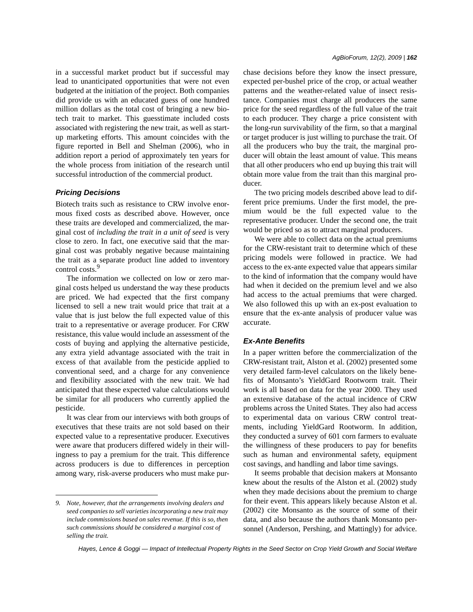in a successful market product but if successful may lead to unanticipated opportunities that were not even budgeted at the initiation of the project. Both companies did provide us with an educated guess of one hundred million dollars as the total cost of bringing a new biotech trait to market. This guesstimate included costs associated with registering the new trait, as well as startup marketing efforts. This amount coincides with the figure reported in Bell and Shelman (2006), who in addition report a period of approximately ten years for the whole process from initiation of the research until successful introduction of the commercial product.

#### *Pricing Decisions*

Biotech traits such as resistance to CRW involve enormous fixed costs as described above. However, once these traits are developed and commercialized, the marginal cost of *including the trait in a unit of seed* is very close to zero. In fact, one executive said that the marginal cost was probably negative because maintaining the trait as a separate product line added to inventory control costs.<sup>9</sup>

The information we collected on low or zero marginal costs helped us understand the way these products are priced. We had expected that the first company licensed to sell a new trait would price that trait at a value that is just below the full expected value of this trait to a representative or average producer. For CRW resistance, this value would include an assessment of the costs of buying and applying the alternative pesticide, any extra yield advantage associated with the trait in excess of that available from the pesticide applied to conventional seed, and a charge for any convenience and flexibility associated with the new trait. We had anticipated that these expected value calculations would be similar for all producers who currently applied the pesticide.

It was clear from our interviews with both groups of executives that these traits are not sold based on their expected value to a representative producer. Executives were aware that producers differed widely in their willingness to pay a premium for the trait. This difference across producers is due to differences in perception among wary, risk-averse producers who must make purchase decisions before they know the insect pressure, expected per-bushel price of the crop, or actual weather patterns and the weather-related value of insect resistance. Companies must charge all producers the same price for the seed regardless of the full value of the trait to each producer. They charge a price consistent with the long-run survivability of the firm, so that a marginal or target producer is just willing to purchase the trait. Of all the producers who buy the trait, the marginal producer will obtain the least amount of value. This means that all other producers who end up buying this trait will obtain more value from the trait than this marginal producer.

The two pricing models described above lead to different price premiums. Under the first model, the premium would be the full expected value to the representative producer. Under the second one, the trait would be priced so as to attract marginal producers.

We were able to collect data on the actual premiums for the CRW-resistant trait to determine which of these pricing models were followed in practice. We had access to the ex-ante expected value that appears similar to the kind of information that the company would have had when it decided on the premium level and we also had access to the actual premiums that were charged. We also followed this up with an ex-post evaluation to ensure that the ex-ante analysis of producer value was accurate.

#### *Ex-Ante Benefits*

In a paper written before the commercialization of the CRW-resistant trait, Alston et al. (2002) presented some very detailed farm-level calculators on the likely benefits of Monsanto's YieldGard Rootworm trait. Their work is all based on data for the year 2000. They used an extensive database of the actual incidence of CRW problems across the United States. They also had access to experimental data on various CRW control treatments, including YieldGard Rootworm. In addition, they conducted a survey of 601 corn farmers to evaluate the willingness of these producers to pay for benefits such as human and environmental safety, equipment cost savings, and handling and labor time savings.

It seems probable that decision makers at Monsanto knew about the results of the Alston et al. (2002) study when they made decisions about the premium to charge for their event. This appears likely because Alston et al. (2002) cite Monsanto as the source of some of their data, and also because the authors thank Monsanto personnel (Anderson, Pershing, and Mattingly) for advice.

*<sup>9.</sup> Note, however, that the arrangements involving dealers and seed companies to sell varieties incorporating a new trait may include commissions based on sales revenue. If this is so, then such commissions should be considered a marginal cost of selling the trait.*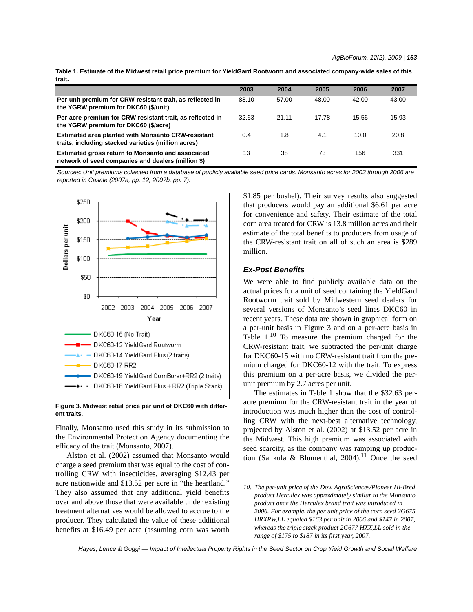|        |  |  |  |  | Table 1. Estimate of the Midwest retail price premium for YieldGard Rootworm and associated company-wide sales of this |  |
|--------|--|--|--|--|------------------------------------------------------------------------------------------------------------------------|--|
| trait. |  |  |  |  |                                                                                                                        |  |

|                                                                                                                  | 2003  | 2004  | 2005  | 2006  | 2007  |
|------------------------------------------------------------------------------------------------------------------|-------|-------|-------|-------|-------|
| Per-unit premium for CRW-resistant trait, as reflected in<br>the YGRW premium for DKC60 (\$/unit)                | 88.10 | 57.00 | 48.00 | 42.00 | 43.00 |
| Per-acre premium for CRW-resistant trait, as reflected in<br>the YGRW premium for DKC60 (\$/acre)                | 32.63 | 21.11 | 17.78 | 15.56 | 15.93 |
| <b>Estimated area planted with Monsanto CRW-resistant</b><br>traits, including stacked varieties (million acres) | 0.4   | 1.8   | 4.1   | 10.0  | 20.8  |
| Estimated gross return to Monsanto and associated<br>network of seed companies and dealers (million \$)          | 13    | 38    | 73    | 156   | 331   |

*Sources: Unit premiums collected from a database of publicly available seed price cards. Monsanto acres for 2003 through 2006 are reported in Casale (2007a, pp. 12; 2007b, pp. 7).*



**Figure 3. Midwest retail price per unit of DKC60 with different traits.**

Finally, Monsanto used this study in its submission to the Environmental Protection Agency documenting the efficacy of the trait (Monsanto, 2007).

Alston et al. (2002) assumed that Monsanto would charge a seed premium that was equal to the cost of controlling CRW with insecticides, averaging \$12.43 per acre nationwide and \$13.52 per acre in "the heartland." They also assumed that any additional yield benefits over and above those that were available under existing treatment alternatives would be allowed to accrue to the producer. They calculated the value of these additional benefits at \$16.49 per acre (assuming corn was worth \$1.85 per bushel). Their survey results also suggested that producers would pay an additional \$6.61 per acre for convenience and safety. Their estimate of the total corn area treated for CRW is 13.8 million acres and their estimate of the total benefits to producers from usage of the CRW-resistant trait on all of such an area is \$289 million.

## *Ex-Post Benefits*

We were able to find publicly available data on the actual prices for a unit of seed containing the YieldGard Rootworm trait sold by Midwestern seed dealers for several versions of Monsanto's seed lines DKC60 in recent years. These data are shown in graphical form on a per-unit basis in Figure 3 and on a per-acre basis in Table  $1<sup>10</sup>$  To measure the premium charged for the CRW-resistant trait, we subtracted the per-unit charge for DKC60-15 with no CRW-resistant trait from the premium charged for DKC60-12 with the trait. To express this premium on a per-acre basis, we divided the perunit premium by 2.7 acres per unit.

The estimates in Table 1 show that the \$32.63 peracre premium for the CRW-resistant trait in the year of introduction was much higher than the cost of controlling CRW with the next-best alternative technology, projected by Alston et al. (2002) at \$13.52 per acre in the Midwest. This high premium was associated with seed scarcity, as the company was ramping up production (Sankula & Blumenthal, 2004).<sup>11</sup> Once the seed

*<sup>10.</sup> The per-unit price of the Dow AgroSciences/Pioneer Hi-Bred product Herculex was approximately similar to the Monsanto product once the Herculex brand trait was introduced in 2006. For example, the per unit price of the corn seed 2G675 HRXRW,LL equaled \$163 per unit in 2006 and \$147 in 2007, whereas the triple stack product 2G677 HXX,LL sold in the range of \$175 to \$187 in its first year, 2007.*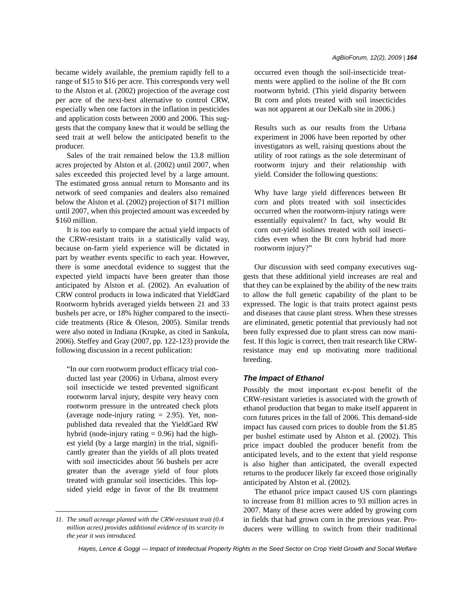became widely available, the premium rapidly fell to a range of \$15 to \$16 per acre. This corresponds very well to the Alston et al. (2002) projection of the average cost per acre of the next-best alternative to control CRW, especially when one factors in the inflation in pesticides and application costs between 2000 and 2006. This suggests that the company knew that it would be selling the seed trait at well below the anticipated benefit to the producer.

Sales of the trait remained below the 13.8 million acres projected by Alston et al. (2002) until 2007, when sales exceeded this projected level by a large amount. The estimated gross annual return to Monsanto and its network of seed companies and dealers also remained below the Alston et al. (2002) projection of \$171 million until 2007, when this projected amount was exceeded by \$160 million.

It is too early to compare the actual yield impacts of the CRW-resistant traits in a statistically valid way, because on-farm yield experience will be dictated in part by weather events specific to each year. However, there is some anecdotal evidence to suggest that the expected yield impacts have been greater than those anticipated by Alston et al. (2002). An evaluation of CRW control products in Iowa indicated that YieldGard Rootworm hybrids averaged yields between 21 and 33 bushels per acre, or 18% higher compared to the insecticide treatments (Rice & Oleson, 2005). Similar trends were also noted in Indiana (Krupke, as cited in Sankula, 2006). Steffey and Gray (2007, pp. 122-123) provide the following discussion in a recent publication:

"In our corn rootworm product efficacy trial conducted last year (2006) in Urbana, almost every soil insecticide we tested prevented significant rootworm larval injury, despite very heavy corn rootworm pressure in the untreated check plots (average node-injury rating  $= 2.95$ ). Yet, nonpublished data revealed that the YieldGard RW hybrid (node-injury rating  $= 0.96$ ) had the highest yield (by a large margin) in the trial, significantly greater than the yields of all plots treated with soil insecticides about 56 bushels per acre greater than the average yield of four plots treated with granular soil insecticides. This lopsided yield edge in favor of the Bt treatment

#### *AgBioForum, 12(2), 2009 | 164*

occurred even though the soil-insecticide treatments were applied to the isoline of the Bt corn rootworm hybrid. (This yield disparity between Bt corn and plots treated with soil insecticides was not apparent at our DeKalb site in 2006.)

Results such as our results from the Urbana experiment in 2006 have been reported by other investigators as well, raising questions about the utility of root ratings as the sole determinant of rootworm injury and their relationship with yield. Consider the following questions:

Why have large yield differences between Bt corn and plots treated with soil insecticides occurred when the rootworm-injury ratings were essentially equivalent? In fact, why would Bt corn out-yield isolines treated with soil insecticides even when the Bt corn hybrid had more rootworm injury?"

Our discussion with seed company executives suggests that these additional yield increases are real and that they can be explained by the ability of the new traits to allow the full genetic capability of the plant to be expressed. The logic is that traits protect against pests and diseases that cause plant stress. When these stresses are eliminated, genetic potential that previously had not been fully expressed due to plant stress can now manifest. If this logic is correct, then trait research like CRWresistance may end up motivating more traditional breeding.

#### *The Impact of Ethanol*

Possibly the most important ex-post benefit of the CRW-resistant varieties is associated with the growth of ethanol production that began to make itself apparent in corn futures prices in the fall of 2006. This demand-side impact has caused corn prices to double from the \$1.85 per bushel estimate used by Alston et al. (2002). This price impact doubled the producer benefit from the anticipated levels, and to the extent that yield response is also higher than anticipated, the overall expected returns to the producer likely far exceed those originally anticipated by Alston et al. (2002).

The ethanol price impact caused US corn plantings to increase from 81 million acres to 93 million acres in 2007. Many of these acres were added by growing corn in fields that had grown corn in the previous year. Producers were willing to switch from their traditional

*<sup>11.</sup> The small acreage planted with the CRW-resistant trait (0.4 million acres) provides additional evidence of its scarcity in the year it was introduced.*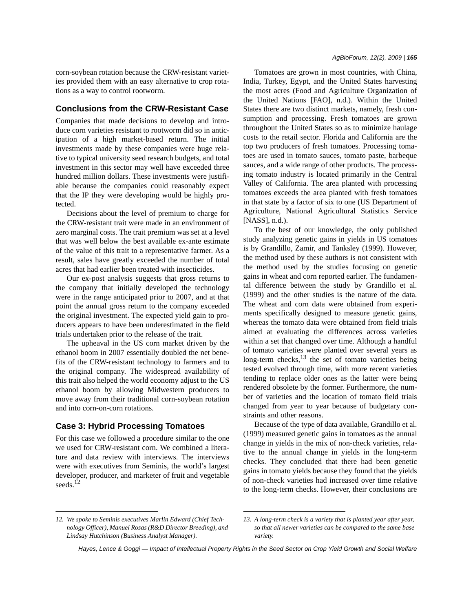corn-soybean rotation because the CRW-resistant varieties provided them with an easy alternative to crop rotations as a way to control rootworm.

# **Conclusions from the CRW-Resistant Case**

Companies that made decisions to develop and introduce corn varieties resistant to rootworm did so in anticipation of a high market-based return. The initial investments made by these companies were huge relative to typical university seed research budgets, and total investment in this sector may well have exceeded three hundred million dollars. These investments were justifiable because the companies could reasonably expect that the IP they were developing would be highly protected.

Decisions about the level of premium to charge for the CRW-resistant trait were made in an environment of zero marginal costs. The trait premium was set at a level that was well below the best available ex-ante estimate of the value of this trait to a representative farmer. As a result, sales have greatly exceeded the number of total acres that had earlier been treated with insecticides.

Our ex-post analysis suggests that gross returns to the company that initially developed the technology were in the range anticipated prior to 2007, and at that point the annual gross return to the company exceeded the original investment. The expected yield gain to producers appears to have been underestimated in the field trials undertaken prior to the release of the trait.

The upheaval in the US corn market driven by the ethanol boom in 2007 essentially doubled the net benefits of the CRW-resistant technology to farmers and to the original company. The widespread availability of this trait also helped the world economy adjust to the US ethanol boom by allowing Midwestern producers to move away from their traditional corn-soybean rotation and into corn-on-corn rotations.

### **Case 3: Hybrid Processing Tomatoes**

For this case we followed a procedure similar to the one we used for CRW-resistant corn. We combined a literature and data review with interviews. The interviews were with executives from Seminis, the world's largest developer, producer, and marketer of fruit and vegetable seeds.<sup>12</sup>

Tomatoes are grown in most countries, with China, India, Turkey, Egypt, and the United States harvesting the most acres (Food and Agriculture Organization of the United Nations [FAO], n.d.). Within the United States there are two distinct markets, namely, fresh consumption and processing. Fresh tomatoes are grown throughout the United States so as to minimize haulage costs to the retail sector. Florida and California are the top two producers of fresh tomatoes. Processing tomatoes are used in tomato sauces, tomato paste, barbeque sauces, and a wide range of other products. The processing tomato industry is located primarily in the Central Valley of California. The area planted with processing tomatoes exceeds the area planted with fresh tomatoes in that state by a factor of six to one (US Department of Agriculture, National Agricultural Statistics Service [NASS], n.d.).

To the best of our knowledge, the only published study analyzing genetic gains in yields in US tomatoes is by Grandillo, Zamir, and Tanksley (1999). However, the method used by these authors is not consistent with the method used by the studies focusing on genetic gains in wheat and corn reported earlier. The fundamental difference between the study by Grandillo et al. (1999) and the other studies is the nature of the data. The wheat and corn data were obtained from experiments specifically designed to measure genetic gains, whereas the tomato data were obtained from field trials aimed at evaluating the differences across varieties within a set that changed over time. Although a handful of tomato varieties were planted over several years as long-term checks, $^{13}$  the set of tomato varieties being tested evolved through time, with more recent varieties tending to replace older ones as the latter were being rendered obsolete by the former. Furthermore, the number of varieties and the location of tomato field trials changed from year to year because of budgetary constraints and other reasons.

Because of the type of data available, Grandillo et al. (1999) measured genetic gains in tomatoes as the annual change in yields in the mix of non-check varieties, relative to the annual change in yields in the long-term checks. They concluded that there had been genetic gains in tomato yields because they found that the yields of non-check varieties had increased over time relative to the long-term checks. However, their conclusions are

*<sup>12.</sup> We spoke to Seminis executives Marlin Edward (Chief Technology Officer), Manuel Rosas (R&D Director Breeding), and Lindsay Hutchinson (Business Analyst Manager).*

*<sup>13.</sup> A long-term check is a variety that is planted year after year, so that all newer varieties can be compared to the same base variety.*

*Hayes, Lence & Goggi — Impact of Intellectual Property Rights in the Seed Sector on Crop Yield Growth and Social Welfare*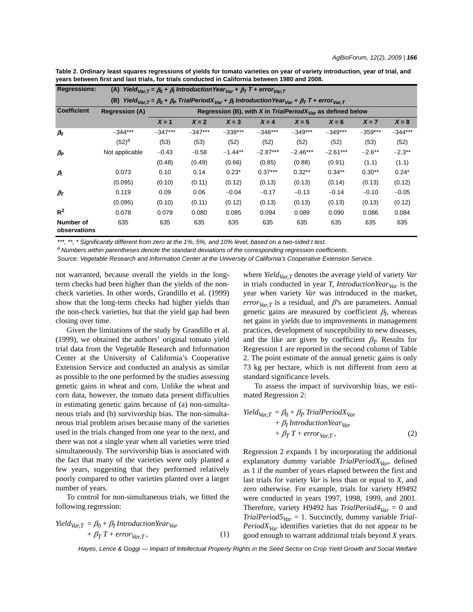| <b>Regressions:</b>       | Yield <sub>Var.T</sub> = $\beta_0$ + $\beta_1$ Introduction Year <sub>Var</sub> + $\beta_T$ T + error <sub>Var.T</sub><br>(A)                                        |                                                                        |           |           |            |            |            |           |           |  |  |
|---------------------------|----------------------------------------------------------------------------------------------------------------------------------------------------------------------|------------------------------------------------------------------------|-----------|-----------|------------|------------|------------|-----------|-----------|--|--|
|                           | Yield <sub>Var.T</sub> = $\beta_0$ + $\beta_P$ TrialPeriodX <sub>Var</sub> + $\beta_1$ IntroductionYear <sub>Var</sub> + $\beta_T$ T + error <sub>Var.T</sub><br>(B) |                                                                        |           |           |            |            |            |           |           |  |  |
| <b>Coefficient</b>        | <b>Regression (A)</b>                                                                                                                                                | Regression (B), with X in TrialPeriodX <sub>Var</sub> as defined below |           |           |            |            |            |           |           |  |  |
|                           |                                                                                                                                                                      | $X = 1$                                                                | $X = 2$   | $X = 3$   | $X = 4$    | $X = 5$    | $X = 6$    | $X = 7$   | $X = 8$   |  |  |
| $\rho_{\rm 0}$            | $-344***$                                                                                                                                                            | $-347***$                                                              | $-347***$ | $-338***$ | $-348***$  | $-349***$  | $-349***$  | $-359***$ | $-344***$ |  |  |
|                           | $(52)^{a}$                                                                                                                                                           | (53)                                                                   | (53)      | (52)      | (52)       | (52)       | (52)       | (53)      | (52)      |  |  |
| $\beta_P$                 | Not applicable                                                                                                                                                       | $-0.43$                                                                | $-0.58$   | $-1.44**$ | $-2.87***$ | $-2.46***$ | $-2.61***$ | $-2.6***$ | $-2.3**$  |  |  |
|                           |                                                                                                                                                                      | (0.48)                                                                 | (0.49)    | (0.66)    | (0.85)     | (0.88)     | (0.91)     | (1.1)     | (1.1)     |  |  |
| $\beta_I$                 | 0.073                                                                                                                                                                | 0.10                                                                   | 0.14      | $0.23*$   | $0.37***$  | $0.32**$   | $0.34***$  | $0.30**$  | $0.24*$   |  |  |
|                           | (0.095)                                                                                                                                                              | (0.10)                                                                 | (0.11)    | (0.12)    | (0.13)     | (0.13)     | (0.14)     | (0.13)    | (0.12)    |  |  |
| $\beta_{\mathcal{T}}$     | 0.119                                                                                                                                                                | 0.09                                                                   | 0.06      | $-0.04$   | $-0.17$    | $-0.13$    | $-0.14$    | $-0.10$   | $-0.05$   |  |  |
|                           | (0.095)                                                                                                                                                              | (0.10)                                                                 | (0.11)    | (0.12)    | (0.13)     | (0.13)     | (0.13)     | (0.13)    | (0.12)    |  |  |
| $R^2$                     | 0.078                                                                                                                                                                | 0.079                                                                  | 0.080     | 0.085     | 0.094      | 0.089      | 0.090      | 0.086     | 0.084     |  |  |
| Number of<br>observations | 635                                                                                                                                                                  | 635                                                                    | 635       | 635       | 635        | 635        | 635        | 635       | 635       |  |  |

**Table 2. Ordinary least squares regressions of yields for tomato varieties on year of variety introduction, year of trial, and years between first and last trials, for trials conducted in California between 1980 and 2008.**

*\*\*\*, \*\*, \* Significantly different from zero at the 1%, 5%, and 10% level, based on a two-sided t test.*

*a Numbers within parentheses denote the standard deviations of the corresponding regression coefficients.*

*Source: Vegetable Research and Information Center at the University of California's Cooperative Extension Service.*

not warranted, because overall the yields in the longterm checks had been higher than the yields of the noncheck varieties. In other words, Grandillo et al. (1999) show that the long-term checks had higher yields than the non-check varieties, but that the yield gap had been closing over time.

Given the limitations of the study by Grandillo et al. (1999), we obtained the authors' original tomato yield trial data from the Vegetable Research and Information Center at the University of California's Cooperative Extension Service and conducted an analysis as similar as possible to the one performed by the studies assessing genetic gains in wheat and corn. Unlike the wheat and corn data, however, the tomato data present difficulties in estimating genetic gains because of (a) non-simultaneous trials and (b) survivorship bias. The non-simultaneous trial problem arises because many of the varieties used in the trials changed from one year to the next, and there was not a single year when all varieties were tried simultaneously. The survivorship bias is associated with the fact that many of the varieties were only planted a few years, suggesting that they performed relatively poorly compared to other varieties planted over a larger number of years.

To control for non-simultaneous trials, we fitted the following regression:

$$
Yield_{Var,T} = \beta_0 + \beta_I IntroductionYear_{Var} + \beta_T T + error_{Var,T},
$$
 (1)

where *Yield<sub>Var,T</sub>* denotes the average yield of variety *Var* in trials conducted in year *T*, *IntroductionYear*<sub>Var</sub> is the year when variety *Var* was introduced in the market, *error* $V_{arT}$  is a residual, and  $\beta$ 's are parameters. Annual genetic gains are measured by coefficient  $\beta_I$ , whereas net gains in yields due to improvements in management practices, development of susceptibility to new diseases, and the like are given by coefficient  $\beta_T$ . Results for Regression 1 are reported in the second column of Table 2. The point estimate of the annual genetic gains is only 73 kg per hectare, which is not different from zero at standard significance levels.

To assess the impact of survivorship bias, we estimated Regression 2:

$$
Yield_{Var,T} = \beta_0 + \beta_P \text{TrialPeriod}(X_{Var} + \beta_1 \text{ Introduction} \text{Year}_{Var} + \beta_T \text{Tr} \text{ error}_{Var,T}, \tag{2}
$$

Regression 2 expands 1 by incorporating the additional explanatory dummy variable *TrialPeriodX<sub>Var</sub>*, defined as 1 if the number of years elapsed between the first and last trials for variety *Var* is less than or equal to *X*, and zero otherwise. For example, trials for variety H9492 were conducted in years 1997, 1998, 1999, and 2001. Therefore, variety H9492 has *TrialPeriod4* $_{Var}$  = 0 and *TrialPeriod5* $_{Var}$  = 1. Succinctly, dummy variable *Trial-PeriodX<sub>Var</sub>* identifies varieties that do not appear to be good enough to warrant additional trials beyond *X* years.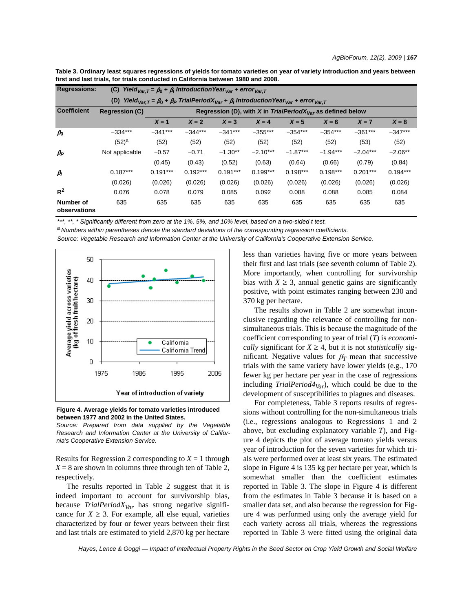| Table 3. Ordinary least squares regressions of yields for tomato varieties on year of variety introduction and years between<br>first and last trials, for trials conducted in California between 1980 and 2008. |                                                                                                              |  |  |  |  |  |  |
|------------------------------------------------------------------------------------------------------------------------------------------------------------------------------------------------------------------|--------------------------------------------------------------------------------------------------------------|--|--|--|--|--|--|
| <b>Regressions:</b>                                                                                                                                                                                              | (C) Yield <sub>Var.T</sub> = $\beta_0$ + $\beta_1$ Introduction Year <sub>Var</sub> + error <sub>Var.T</sub> |  |  |  |  |  |  |
|                                                                                                                                                                                                                  | a a Tabul Dante alle a la tacción de la Vicencia como a                                                      |  |  |  |  |  |  |

|                           | $\cdots$ val. $\mathsf{r} = \mathsf{r} \mathsf{u} \cdot \mathsf{r}$ $\cdots$ can be not for $\mathsf{var} \cdot \mathsf{var} \cdot \mathsf{var} \cdot \mathsf{var}$ |                                                                        |            |            |            |            |            |            |            |  |
|---------------------------|---------------------------------------------------------------------------------------------------------------------------------------------------------------------|------------------------------------------------------------------------|------------|------------|------------|------------|------------|------------|------------|--|
|                           | Yield <sub>Var.T</sub> = $\beta_0$ + $\beta_P$ TrialPeriodX <sub>Var</sub> + $\beta_1$ IntroductionYear <sub>Var</sub> + error <sub>Var.T</sub><br>(D)              |                                                                        |            |            |            |            |            |            |            |  |
| <b>Coefficient</b>        | <b>Regression (C)</b>                                                                                                                                               | Regression (D), with X in TrialPeriodX <sub>Var</sub> as defined below |            |            |            |            |            |            |            |  |
|                           |                                                                                                                                                                     | $X = 1$                                                                | $X = 2$    | $X = 3$    | $X = 4$    | $X = 5$    | $X = 6$    | $X = 7$    | $X = 8$    |  |
| $\rho_{\rm 0}$            | $-334***$                                                                                                                                                           | $-341***$                                                              | $-344***$  | $-341***$  | $-355***$  | $-354***$  | $-354***$  | $-361***$  | $-347***$  |  |
|                           | $(52)^a$                                                                                                                                                            | (52)                                                                   | (52)       | (52)       | (52)       | (52)       | (52)       | (53)       | (52)       |  |
| $\beta_P$                 | Not applicable                                                                                                                                                      | $-0.57$                                                                | $-0.71$    | $-1.30**$  | $-2.10***$ | $-1.87***$ | $-1.94***$ | $-2.04***$ | $-2.06**$  |  |
|                           |                                                                                                                                                                     | (0.45)                                                                 | (0.43)     | (0.52)     | (0.63)     | (0.64)     | (0.66)     | (0.79)     | (0.84)     |  |
| $\beta$                   | $0.187***$                                                                                                                                                          | $0.191***$                                                             | $0.192***$ | $0.191***$ | $0.199***$ | $0.198***$ | $0.198***$ | $0.201***$ | $0.194***$ |  |
|                           | (0.026)                                                                                                                                                             | (0.026)                                                                | (0.026)    | (0.026)    | (0.026)    | (0.026)    | (0.026)    | (0.026)    | (0.026)    |  |
| $R^2$                     | 0.076                                                                                                                                                               | 0.078                                                                  | 0.079      | 0.085      | 0.092      | 0.088      | 0.088      | 0.085      | 0.084      |  |
| Number of<br>observations | 635                                                                                                                                                                 | 635                                                                    | 635        | 635        | 635        | 635        | 635        | 635        | 635        |  |

\*\*\*, \*\*, \* Significantly different from zero at the 1%, 5%, and 10% level, based on a two-sided t test.<br><sup>a</sup> Numbers within parentheses denote the standard deviations of the corresponding regression coefficients.

*Source: Vegetable Research and Information Center at the University of California's Cooperative Extension Service.*



**Figure 4. Average yields for tomato varieties introduced between 1977 and 2002 in the United States.**

*Source: Prepared from data supplied by the Vegetable Research and Information Center at the University of California's Cooperative Extension Service.*

Results for Regression 2 corresponding to  $X = 1$  through  $X = 8$  are shown in columns three through ten of Table 2, respectively.

The results reported in Table 2 suggest that it is indeed important to account for survivorship bias, because *TrialPeriodX* $_{Var}$  has strong negative significance for  $X \geq 3$ . For example, all else equal, varieties characterized by four or fewer years between their first and last trials are estimated to yield 2,870 kg per hectare less than varieties having five or more years between their first and last trials (see seventh column of Table 2). More importantly, when controlling for survivorship bias with  $X \geq 3$ , annual genetic gains are significantly positive, with point estimates ranging between 230 and 370 kg per hectare.

The results shown in Table 2 are somewhat inconclusive regarding the relevance of controlling for nonsimultaneous trials. This is because the magnitude of the coefficient corresponding to year of trial (*T*) is *economically* significant for  $X \geq 4$ , but it is not *statistically* significant. Negative values for  $\beta_T$  mean that successive trials with the same variety have lower yields (e.g., 170 fewer kg per hectare per year in the case of regressions including  $TriallPeriod4<sub>Var</sub>$ , which could be due to the development of susceptibilities to plagues and diseases.

For completeness, Table 3 reports results of regressions without controlling for the non-simultaneous trials (i.e., regressions analogous to Regressions 1 and 2 above, but excluding explanatory variable *T*), and Figure 4 depicts the plot of average tomato yields versus year of introduction for the seven varieties for which trials were performed over at least six years. The estimated slope in Figure 4 is 135 kg per hectare per year, which is somewhat smaller than the coefficient estimates reported in Table 3. The slope in Figure 4 is different from the estimates in Table 3 because it is based on a smaller data set, and also because the regression for Figure 4 was performed using only the average yield for each variety across all trials, whereas the regressions reported in Table 3 were fitted using the original data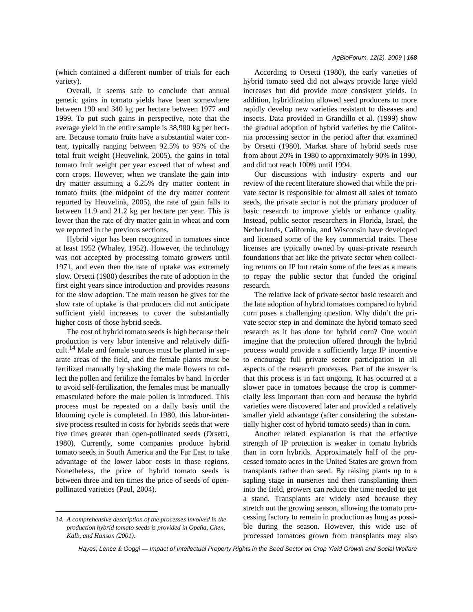Overall, it seems safe to conclude that annual genetic gains in tomato yields have been somewhere between 190 and 340 kg per hectare between 1977 and 1999. To put such gains in perspective, note that the average yield in the entire sample is 38,900 kg per hectare. Because tomato fruits have a substantial water content, typically ranging between 92.5% to 95% of the total fruit weight (Heuvelink, 2005), the gains in total tomato fruit weight per year exceed that of wheat and corn crops. However, when we translate the gain into dry matter assuming a 6.25% dry matter content in tomato fruits (the midpoint of the dry matter content reported by Heuvelink, 2005), the rate of gain falls to between 11.9 and 21.2 kg per hectare per year. This is lower than the rate of dry matter gain in wheat and corn we reported in the previous sections.

Hybrid vigor has been recognized in tomatoes since at least 1952 (Whaley, 1952). However, the technology was not accepted by processing tomato growers until 1971, and even then the rate of uptake was extremely slow. Orsetti (1980) describes the rate of adoption in the first eight years since introduction and provides reasons for the slow adoption. The main reason he gives for the slow rate of uptake is that producers did not anticipate sufficient yield increases to cover the substantially higher costs of those hybrid seeds.

The cost of hybrid tomato seeds is high because their production is very labor intensive and relatively difficult.<sup>14</sup> Male and female sources must be planted in separate areas of the field, and the female plants must be fertilized manually by shaking the male flowers to collect the pollen and fertilize the females by hand. In order to avoid self-fertilization, the females must be manually emasculated before the male pollen is introduced. This process must be repeated on a daily basis until the blooming cycle is completed. In 1980, this labor-intensive process resulted in costs for hybrids seeds that were five times greater than open-pollinated seeds (Orsetti, 1980). Currently, some companies produce hybrid tomato seeds in South America and the Far East to take advantage of the lower labor costs in those regions. Nonetheless, the price of hybrid tomato seeds is between three and ten times the price of seeds of openpollinated varieties (Paul, 2004).

According to Orsetti (1980), the early varieties of hybrid tomato seed did not always provide large yield increases but did provide more consistent yields. In addition, hybridization allowed seed producers to more rapidly develop new varieties resistant to diseases and insects. Data provided in Grandillo et al. (1999) show the gradual adoption of hybrid varieties by the California processing sector in the period after that examined by Orsetti (1980). Market share of hybrid seeds rose from about 20% in 1980 to approximately 90% in 1990, and did not reach 100% until 1994.

Our discussions with industry experts and our review of the recent literature showed that while the private sector is responsible for almost all sales of tomato seeds, the private sector is not the primary producer of basic research to improve yields or enhance quality. Instead, public sector researchers in Florida, Israel, the Netherlands, California, and Wisconsin have developed and licensed some of the key commercial traits. These licenses are typically owned by quasi-private research foundations that act like the private sector when collecting returns on IP but retain some of the fees as a means to repay the public sector that funded the original research.

The relative lack of private sector basic research and the late adoption of hybrid tomatoes compared to hybrid corn poses a challenging question. Why didn't the private sector step in and dominate the hybrid tomato seed research as it has done for hybrid corn? One would imagine that the protection offered through the hybrid process would provide a sufficiently large IP incentive to encourage full private sector participation in all aspects of the research processes. Part of the answer is that this process is in fact ongoing. It has occurred at a slower pace in tomatoes because the crop is commercially less important than corn and because the hybrid varieties were discovered later and provided a relatively smaller yield advantage (after considering the substantially higher cost of hybrid tomato seeds) than in corn.

Another related explanation is that the effective strength of IP protection is weaker in tomato hybrids than in corn hybrids. Approximately half of the processed tomato acres in the United States are grown from transplants rather than seed. By raising plants up to a sapling stage in nurseries and then transplanting them into the field, growers can reduce the time needed to get a stand. Transplants are widely used because they stretch out the growing season, allowing the tomato processing factory to remain in production as long as possible during the season. However, this wide use of processed tomatoes grown from transplants may also

*<sup>14.</sup> A comprehensive description of the processes involved in the production hybrid tomato seeds is provided in Opeña, Chen, Kalb, and Hanson (2001).*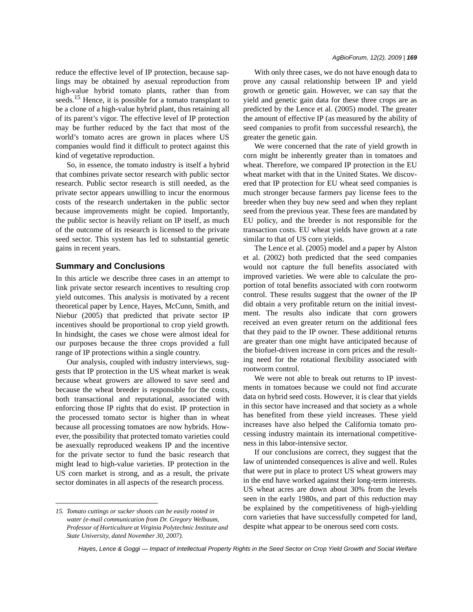reduce the effective level of IP protection, because saplings may be obtained by asexual reproduction from high-value hybrid tomato plants, rather than from seeds.<sup>15</sup> Hence, it is possible for a tomato transplant to be a clone of a high-value hybrid plant, thus retaining all of its parent's vigor. The effective level of IP protection may be further reduced by the fact that most of the world's tomato acres are grown in places where US companies would find it difficult to protect against this kind of vegetative reproduction.

So, in essence, the tomato industry is itself a hybrid that combines private sector research with public sector research. Public sector research is still needed, as the private sector appears unwilling to incur the enormous costs of the research undertaken in the public sector because improvements might be copied. Importantly, the public sector is heavily reliant on IP itself, as much of the outcome of its research is licensed to the private seed sector. This system has led to substantial genetic gains in recent years.

### **Summary and Conclusions**

In this article we describe three cases in an attempt to link private sector research incentives to resulting crop yield outcomes. This analysis is motivated by a recent theoretical paper by Lence, Hayes, McCunn, Smith, and Niebur (2005) that predicted that private sector IP incentives should be proportional to crop yield growth. In hindsight, the cases we chose were almost ideal for our purposes because the three crops provided a full range of IP protections within a single country.

Our analysis, coupled with industry interviews, suggests that IP protection in the US wheat market is weak because wheat growers are allowed to save seed and because the wheat breeder is responsible for the costs, both transactional and reputational, associated with enforcing those IP rights that do exist. IP protection in the processed tomato sector is higher than in wheat because all processing tomatoes are now hybrids. However, the possibility that protected tomato varieties could be asexually reproduced weakens IP and the incentive for the private sector to fund the basic research that might lead to high-value varieties. IP protection in the US corn market is strong, and as a result, the private sector dominates in all aspects of the research process.

With only three cases, we do not have enough data to prove any causal relationship between IP and yield growth or genetic gain. However, we can say that the yield and genetic gain data for these three crops are as predicted by the Lence et al. (2005) model. The greater the amount of effective IP (as measured by the ability of seed companies to profit from successful research), the greater the genetic gain.

We were concerned that the rate of yield growth in corn might be inherently greater than in tomatoes and wheat. Therefore, we compared IP protection in the EU wheat market with that in the United States. We discovered that IP protection for EU wheat seed companies is much stronger because farmers pay license fees to the breeder when they buy new seed and when they replant seed from the previous year. These fees are mandated by EU policy, and the breeder is not responsible for the transaction costs. EU wheat yields have grown at a rate similar to that of US corn yields.

The Lence et al. (2005) model and a paper by Alston et al. (2002) both predicted that the seed companies would not capture the full benefits associated with improved varieties. We were able to calculate the proportion of total benefits associated with corn rootworm control. These results suggest that the owner of the IP did obtain a very profitable return on the initial investment. The results also indicate that corn growers received an even greater return on the additional fees that they paid to the IP owner. These additional returns are greater than one might have anticipated because of the biofuel-driven increase in corn prices and the resulting need for the rotational flexibility associated with rootworm control.

We were not able to break out returns to IP investments in tomatoes because we could not find accurate data on hybrid seed costs. However, it is clear that yields in this sector have increased and that society as a whole has benefited from these yield increases. These yield increases have also helped the California tomato processing industry maintain its international competitiveness in this labor-intensive sector.

If our conclusions are correct, they suggest that the law of unintended consequences is alive and well. Rules that were put in place to protect US wheat growers may in the end have worked against their long-term interests. US wheat acres are down about 30% from the levels seen in the early 1980s, and part of this reduction may be explained by the competitiveness of high-yielding corn varieties that have successfully competed for land, despite what appear to be onerous seed corn costs.

*<sup>15.</sup> Tomato cuttings or sucker shoots can be easily rooted in water (e-mail communication from Dr. Gregory Welbaum, Professor of Horticulture at Virginia Polytechnic Institute and State University, dated November 30, 2007).*

*Hayes, Lence & Goggi — Impact of Intellectual Property Rights in the Seed Sector on Crop Yield Growth and Social Welfare*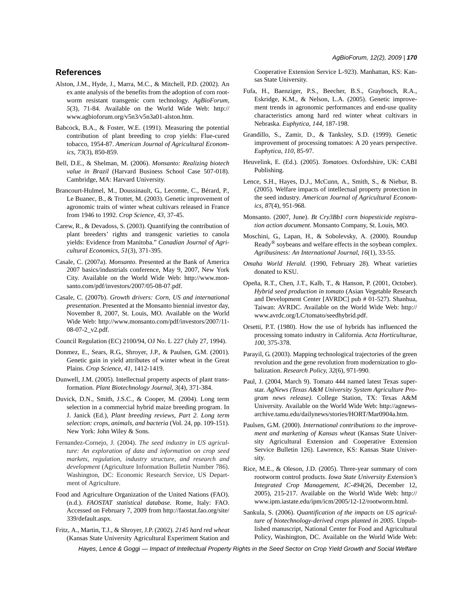## **References**

- Alston, J.M., Hyde, J., Marra, M.C., & Mitchell, P.D. (2002). An ex ante analysis of the benefits from the adoption of corn rootworm resistant transgenic corn technology. *AgBioForum*, *5*(3), 71-84. Available on the World Wide Web: http:// www.agbioforum.org/v5n3/v5n3a01-alston.htm.
- Babcock, B.A., & Foster, W.E. (1991). Measuring the potential contribution of plant breeding to crop yields: Flue-cured tobacco, 1954-87. *American Journal of Agricultural Economics*, *73*(3), 850-859.
- Bell, D.E., & Shelman, M. (2006). *Monsanto: Realizing biotech value in Brazil* (Harvard Business School Case 507-018). Cambridge, MA: Harvard University.
- Brancourt-Hulmel, M., Doussinault, G., Lecomte, C., Bérard, P., Le Buanec, B., & Trottet, M. (2003). Genetic improvement of agronomic traits of winter wheat cultivars released in France from 1946 to 1992. *Crop Science*, *43*, 37-45.
- Carew, R., & Devadoss, S. (2003). Quantifying the contribution of plant breeders' rights and transgenic varieties to canola yields: Evidence from Manitoba." *Canadian Journal of Agricultural Economics*, *51*(3), 371-395.
- Casale, C. (2007a). *Monsanto*. Presented at the Bank of America 2007 basics/industrials conference, May 9, 2007, New York City. Available on the World Wide Web: http://www.monsanto.com/pdf/investors/2007/05-08-07.pdf.
- Casale, C. (2007b). *Growth drivers: Corn, US and international presentation*. Presented at the Monsanto biennial investor day, November 8, 2007, St. Louis, MO. Available on the World Wide Web: http://www.monsanto.com/pdf/investors/2007/11- 08-07-2\_v2.pdf.
- Council Regulation (EC) 2100/94, OJ No. L 227 (July 27, 1994).
- Donmez, E., Sears, R.G., Shroyer, J.P., & Paulsen, G.M. (2001). Genetic gain in yield attributes of winter wheat in the Great Plains. *Crop Science*, *41*, 1412-1419.
- Dunwell, J.M. (2005). Intellectual property aspects of plant transformation. *Plant Biotechnology Journal*, *3*(4), 371-384.
- Duvick, D.N., Smith, J.S.C., & Cooper, M. (2004). Long term selection in a commercial hybrid maize breeding program. In J. Janick (Ed.), *Plant breeding reviews, Part 2. Long term selection: crops, animals, and bacteria* (Vol. 24, pp. 109-151). New York: John Wiley & Sons.
- Fernandez-Cornejo, J. (2004). *The seed industry in US agriculture: An exploration of data and information on crop seed markets, regulation, industry structure, and research and development* (Agriculture Information Bulletin Number 786). Washington, DC: Economic Research Service, US Department of Agriculture.
- Food and Agriculture Organization of the United Nations (FAO). (n.d.). *FAOSTAT statistical database*. Rome, Italy: FAO. Accessed on February 7, 2009 from http://faostat.fao.org/site/ 339/default.aspx.
- Fritz, A., Martin, T.J., & Shroyer, J.P. (2002). *2145 hard red wheat* (Kansas State University Agricultural Experiment Station and

Cooperative Extension Service L-923). Manhattan, KS: Kansas State University.

- Fufa, H., Baenziger, P.S., Beecher, B.S., Graybosch, R.A., Eskridge, K.M., & Nelson, L.A. (2005). Genetic improvement trends in agronomic performances and end-use quality characteristics among hard red winter wheat cultivars in Nebraska. *Euphytica*, *144*, 187-198.
- Grandillo, S., Zamir, D., & Tanksley, S.D. (1999). Genetic improvement of processing tomatoes: A 20 years perspective. *Euphytica*, *110*, 85-97.
- Heuvelink, E. (Ed.). (2005). *Tomatoes*. Oxfordshire, UK: CABI Publishing.
- Lence, S.H., Hayes, D.J., McCunn, A., Smith, S., & Niebur, B. (2005). Welfare impacts of intellectual property protection in the seed industry. *American Journal of Agricultural Economics*, *87*(4), 951-968.
- Monsanto. (2007, June). *Bt Cry3Bb1 corn biopesticide registration action document*. Monsanto Company, St. Louis, MO.
- Moschini, G., Lapan, H., & Sobolevsky, A. (2000). Roundup Ready® soybeans and welfare effects in the soybean complex. *Agribusiness: An International Journal*, *16*(1), 33-55.
- *Omaha World Herald*. (1990, February 28). Wheat varieties donated to KSU.
- Opeña, R.T., Chen, J.T., Kalb, T., & Hanson, P. (2001, October). *Hybrid seed production in tomato* (Asian Vegetable Research and Development Center [AVRDC] pub # 01-527). Shanhua, Taiwan: AVRDC. Available on the World Wide Web: http:// www.avrdc.org/LC/tomato/seedhybrid.pdf.
- Orsetti, P.T. (1980). How the use of hybrids has influenced the processing tomato industry in California. *Acta Horticulturae*, *100*, 375-378.
- Parayil, G. (2003). Mapping technological trajectories of the green revolution and the gene revolution from modernization to globalization. *Research Policy*, *32*(6), 971-990.
- Paul, J. (2004, March 9). Tomato 444 named latest Texas superstar. *AgNews (Texas A&M University System Agriculture Program news release)*. College Station, TX: Texas A&M University. Available on the World Wide Web: http://agnewsarchive.tamu.edu/dailynews/stories/HORT/Mar0904a.htm.
- Paulsen, G.M. (2000). *International contributions to the improvement and marketing of Kansas wheat* (Kansas State University Agricultural Extension and Cooperative Extension Service Bulletin 126). Lawrence, KS: Kansas State University.
- Rice, M.E., & Oleson, J.D. (2005). Three-year summary of corn rootworm control products. *Iowa State University Extension's Integrated Crop Management*, *IC-494*(26, December 12, 2005), 215-217. Available on the World Wide Web: http:// www.ipm.iastate.edu/ipm/icm/2005/12-12/rootworm.html.
- Sankula, S. (2006). *Quantification of the impacts on US agriculture of biotechnology-derived crops planted in 2005*. Unpublished manuscript, National Center for Food and Agricultural Policy, Washington, DC. Available on the World Wide Web: